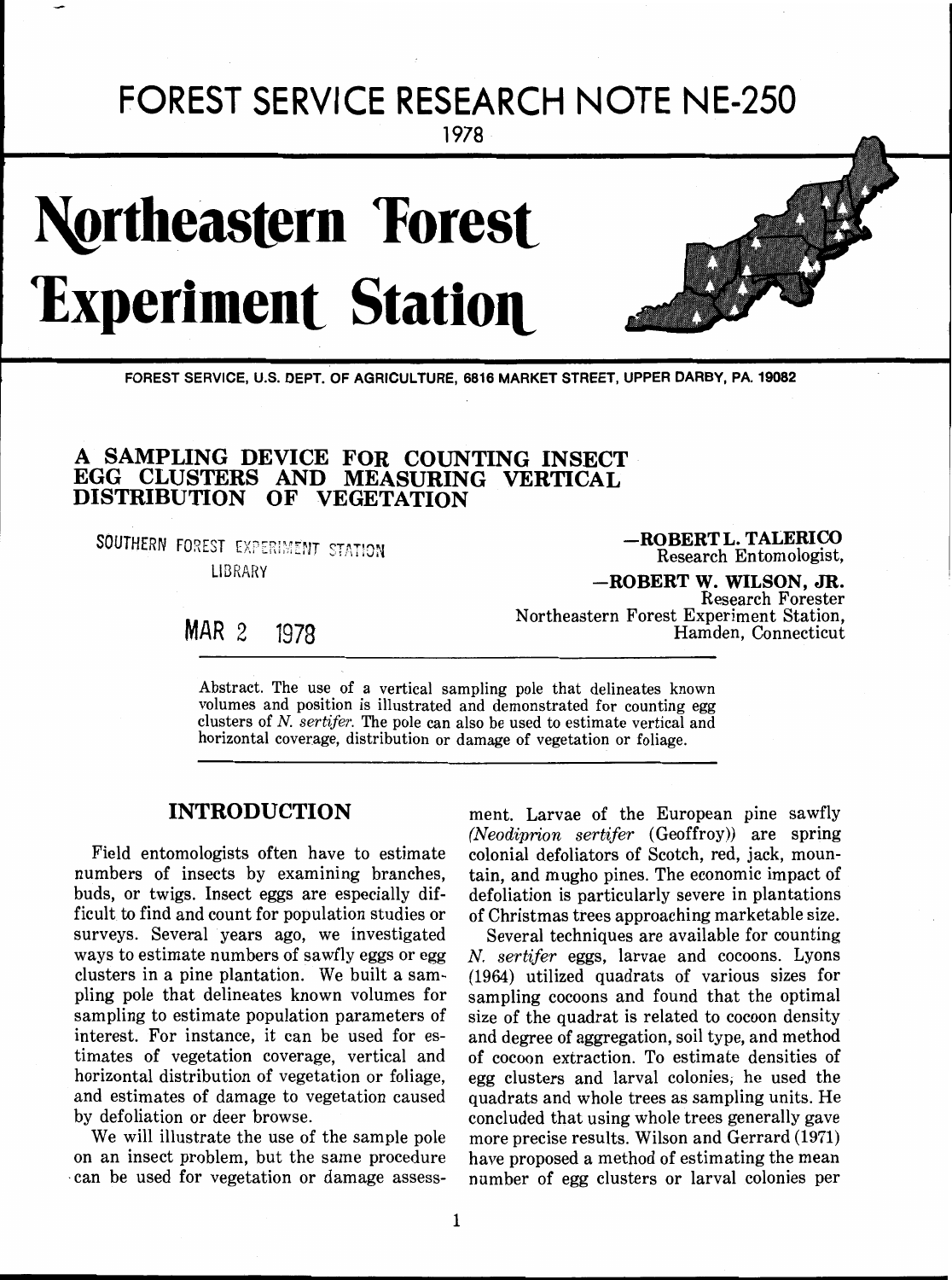# **FOREST SERVICE RESEARCH NOTE NE-250** 1978

# **Northeastern Forest Experiment Station**



**FOREST SERVICE, U.S. DEPT. OF AGRICULTURE, 6816 MARKET STREET, UPPER DARBY, PA. 19082** 

# **A SAMPLING DEVICE FOR COUNTING INSECT EGG CLUSTERS AND MEASURING VERTICAL DISTRIBUTION OF VEGETATION**

SOUTHERN FOREST EXPERIMENT STATION LIBRARY

**-ROBERT L. TALERICO**  Research En tomologist,

**-ROBERT W. WILSON, JR.**  Research Forester Northeastern Forest Experiment Station, Hamden, Connecticut

MAR 2 1978

Abstract. The use of a vertical sampling pole that delineates known volumes and position is illustrated and demonstrated for counting egg clusters of N. sertifer. The pole can also be used to estimate vertical and horizontal coverage, distribution or damage of vegetation or foliage.

## **INTRODUCTION**

Field entomologists often have to estimate numbers of insects by examining branches, buds, or twigs. Insect eggs are especially difficult to find and count for population studies or surveys. Several years ago, we investigated ways to estimate numbers of sawfly eggs or egg clusters in a pine plantation. We built a sampling pole that delineates known volumes for sampling to estimate population parameters of interest. For instance, it can be used for estimates of vegetation coverage, vertical and horizontal distribution of vegetation or foliage, and estimates of damage to vegetation caused by defoliation or deer browse.

We will illustrate the use of the sample pole on an insect problem, but the same procedure -can be used for vegetation or damage assess-

ment. Larvae of the European pine sawfly (Neodiprion sertifer (Geoffroy)) are spring colonial defoliators of Scotch, red, jack, mountain, and mugho pines. The economic impact of defoliation is particularly severe in plantations of Christmas trees approaching marketable size.

Several techniques are available for counting N. sertifer eggs, larvae and cocoons. Lyons (1964) utilized quadrats of various sizes for sampling cocoons and found that the optimal size of the quadrat is related to cocoon density and degree of aggregation, soil type, and method of cocoon extraction. To estimate densities of egg clusters and larval colonies, he used the quadrats and whole trees as sampling units. He concluded that using whole trees generally gave more precise results. Wilson and Gerrard (1971) have proposed a method of estimating the mean number of egg clusters or larval colonies per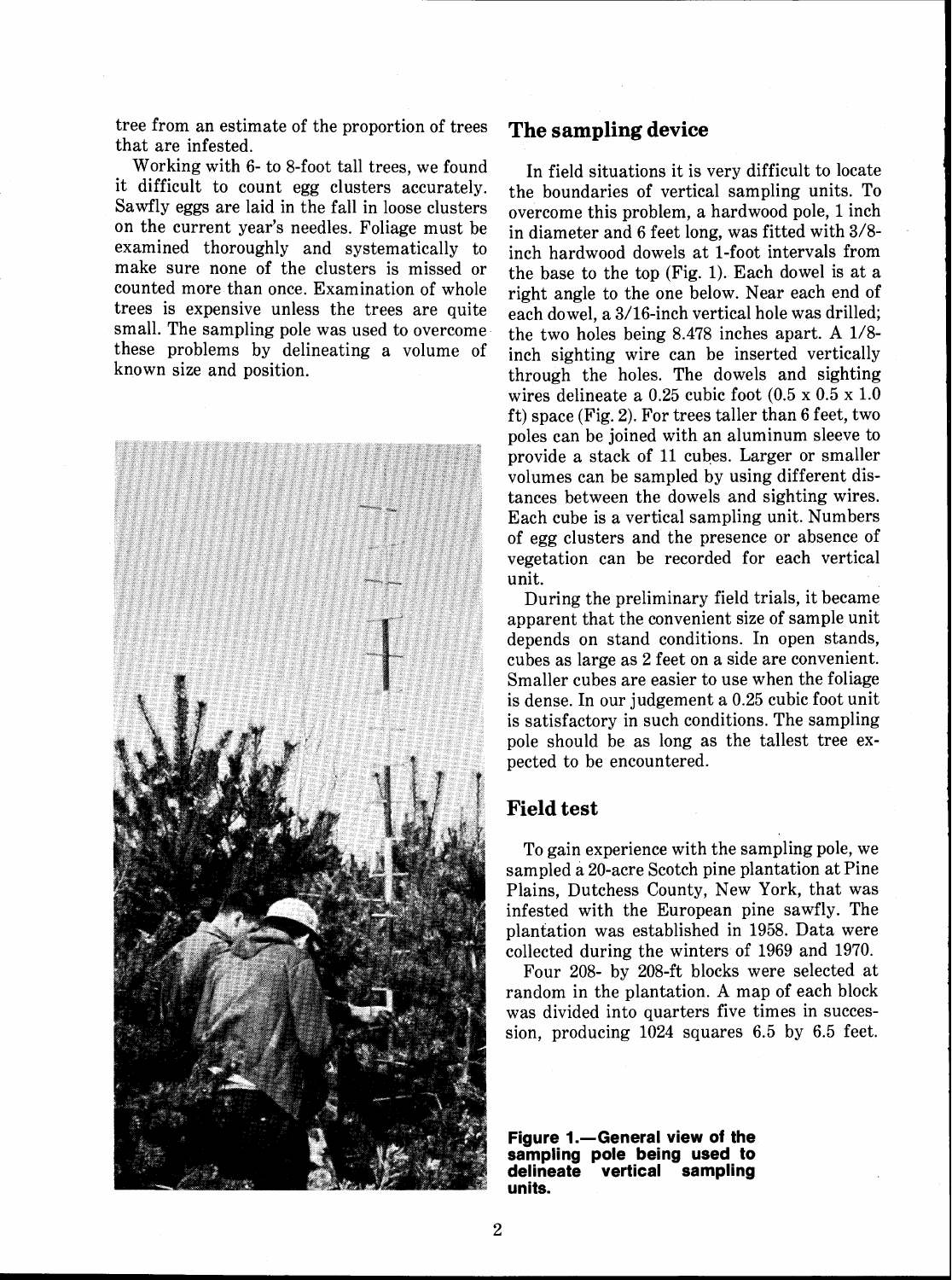tree from an estimate of the proportion of trees that are infested.

Working with 6- to 8-foot tall trees, we found it difficult to count egg clusters accurately. Sawfly eggs are laid in the fall in loose clusters on the current year's needles. Foliage must be examined thoroughly and systematically to make sure none of the clusters is missed or counted more than once. Examination of whole trees is expensive unless the trees are quite small. The sampling pole was used to overcome these problems by delineating a volume of known size and position.



#### **The sampling device**

In field situations it is very difficult to locate the boundaries of vertical sampling units. To overcome this problem, a hardwood pole, 1 inch in diameter and 6 feet long, was fitted with 3/8 inch hardwood dowels at 1-foot intervals from the base to the top (Fig. 1). Each dowel is at a right angle to the one below. Near each end of each dowel, a 3/16-inch vertical hole was drilled; the two holes being 8.478 inches apart. A 1/8 inch sighting wire can be inserted vertically through the holes. The dowels and sighting wires delineate a  $0.25$  cubic foot  $(0.5 \times 0.5 \times 1.0)$ ft) space (Fig. 2). For trees taller than 6 feet, two poles can be joined with an aluminum sleeve to provide a stack of 11 cubes. Larger or smaller volumes can be sampled by using different distances between the dowels and sighting wires. Each cube is a vertical sampling unit. Numbers of egg clusters and the presence or absence of vegetation can be recorded for each vertical unit.

During the preliminary field trials, it became apparent that the convenient size of sample unit depends on stand conditions. In open stands, cubes as large as 2 feet on a side are convenient. Smaller cubes are easier to use when the foliage is dense. In our judgement a 0.25 cubic foot unit is satisfactory in such conditions. The sampling pole should be as long as the tallest tree expected to be encountered.

### **Field test**

To gain experience with the sampling pole, we sampled a 20-acre Scotch pine plantation at Pine Plains, Dutchess County, New York, that was infested with the European pine sawfly. The plantation was established in 1958. Data were collected during the winters of 1969 and 1970.

Four 208- by 208-ft blocks were selected at random in the plantation. A map of each block was divided into quarters five times in succession, producing 1024 squares 6.5 by 6.5 feet.

**Figure 1.**-General view of the **sampling pole being used to vertical sampling units.**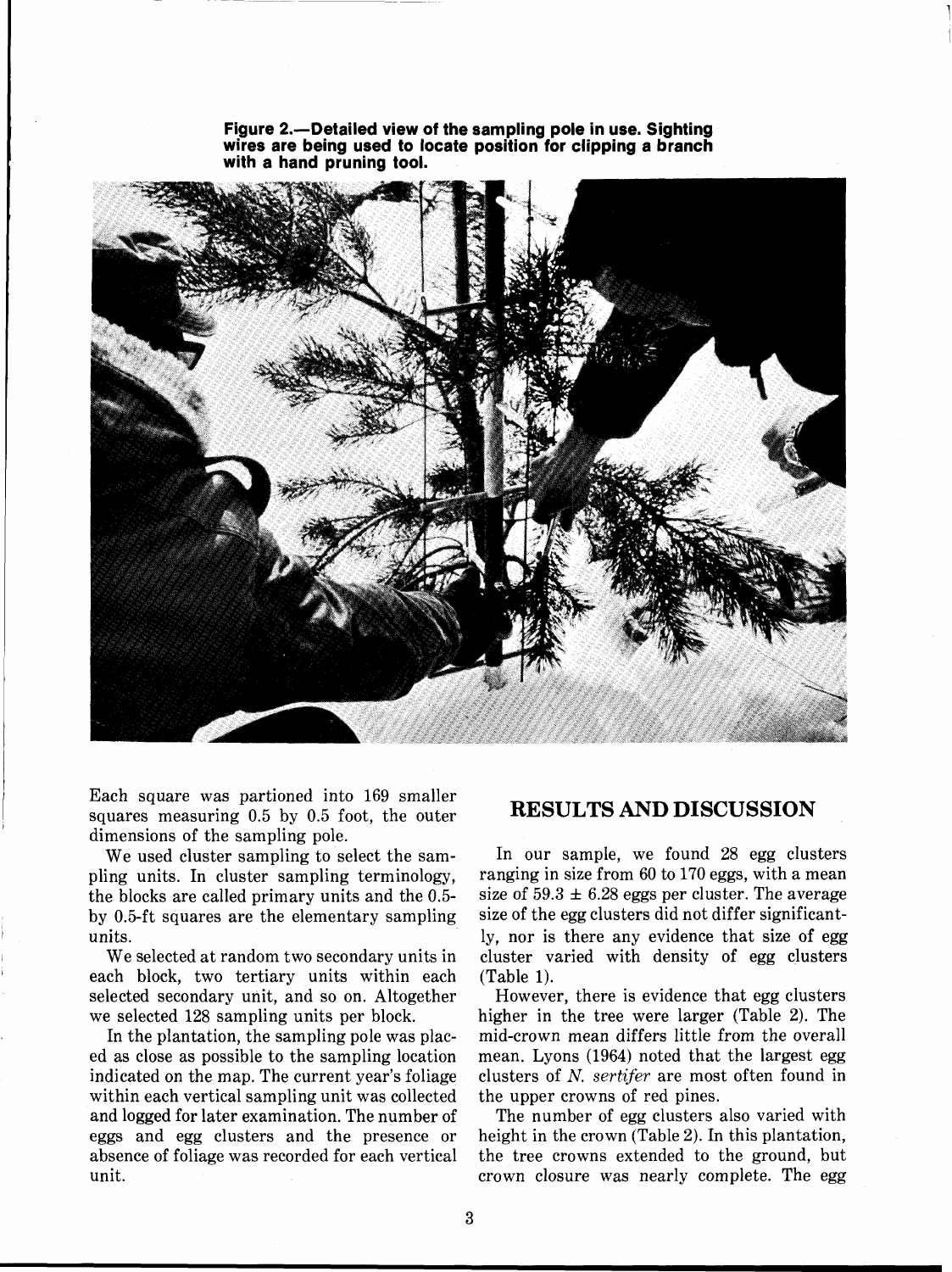

Figure 2.-Detailed view of the sampling pole in use. Sighting **wires are being used to locate position for clipping a branch with a hand pruning tool.** 

Each square was partioned into 169 smaller squares measuring 0.5 by 0.5 foot, the outer dimensions of the sampling pole.

We used cluster sampling to select the sampling units. In cluster sampling terminology, the blocks are called primary units and the 0.5 by 0.5-ft squares are the elementary sampling units.

We selected at random two secondary units in each block, two tertiary units within each selected secondary unit, and so on. Altogether we selected 128 sampling units per block.

In the plantation, the sampling pole was placed as close as possible to the sampling location indicated on the map. The current year's foliage within each vertical sampling unit was collected and logged for later examination. The number of eggs and egg clusters and the presence or absence of foliage was recorded for each vertical unit.

#### **RESULTS AND DISCUSSION**

In our sample, we found 28 egg clusters ranging in size from 60 to 170 eggs, with a mean size of  $59.3 \pm 6.28$  eggs per cluster. The average size of the egg clusters did not differ significantly, nor is there any evidence that size of egg cluster varied with density of egg clusters (Table 1).

However, there is evidence that egg clusters higher in the tree were larger (Table 2). The mid-crown mean differs little from the overall mean. Lyons (1964) noted that the largest egg clusters of N. sertifer are most often found in the upper crowns of red pines.

The number of egg clusters also varied with height in the crown (Table 2). In this plantation, the tree crowns extended to the ground, but crown closure was nearly complete. The egg